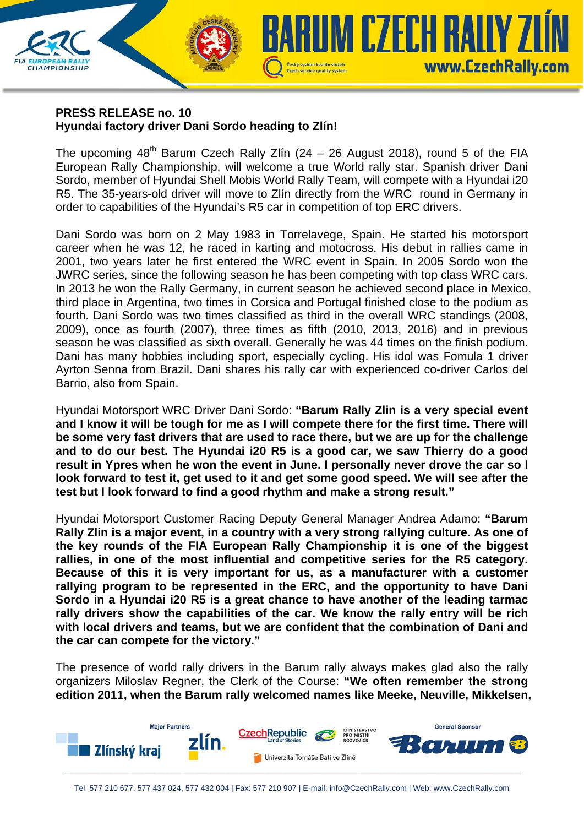## **PRESS RELEASE no. 10 Hyundai factory driver Dani Sordo heading to Zlín!**

**CHAMPIONSHIP** 

The upcoming  $48<sup>th</sup>$  Barum Czech Rally Zlín (24 – 26 August 2018), round 5 of the FIA European Rally Championship, will welcome a true World rally star. Spanish driver Dani Sordo, member of Hyundai Shell Mobis World Rally Team, will compete with a Hyundai i20 R5. The 35-years-old driver will move to Zlín directly from the WRC round in Germany in order to capabilities of the Hyundai's R5 car in competition of top ERC drivers.

Czech service quality system

**KUM CZECH RALIY ZI** 

www.CzechRally.com

Dani Sordo was born on 2 May 1983 in Torrelavege, Spain. He started his motorsport career when he was 12, he raced in karting and motocross. His debut in rallies came in 2001, two years later he first entered the WRC event in Spain. In 2005 Sordo won the JWRC series, since the following season he has been competing with top class WRC cars. In 2013 he won the Rally Germany, in current season he achieved second place in Mexico, third place in Argentina, two times in Corsica and Portugal finished close to the podium as fourth. Dani Sordo was two times classified as third in the overall WRC standings (2008, 2009), once as fourth (2007), three times as fifth (2010, 2013, 2016) and in previous season he was classified as sixth overall. Generally he was 44 times on the finish podium. Dani has many hobbies including sport, especially cycling. His idol was Fomula 1 driver Ayrton Senna from Brazil. Dani shares his rally car with experienced co-driver Carlos del Barrio, also from Spain.

Hyundai Motorsport WRC Driver Dani Sordo: **"Barum Rally Zlin is a very special event and I know it will be tough for me as I will compete there for the first time. There will be some very fast drivers that are used to race there, but we are up for the challenge and to do our best. The Hyundai i20 R5 is a good car, we saw Thierry do a good result in Ypres when he won the event in June. I personally never drove the car so I look forward to test it, get used to it and get some good speed. We will see after the test but I look forward to find a good rhythm and make a strong result."**

Hyundai Motorsport Customer Racing Deputy General Manager Andrea Adamo: **"Barum Rally Zlin is a major event, in a country with a very strong rallying culture. As one of the key rounds of the FIA European Rally Championship it is one of the biggest rallies, in one of the most influential and competitive series for the R5 category. Because of this it is very important for us, as a manufacturer with a customer rallying program to be represented in the ERC, and the opportunity to have Dani Sordo in a Hyundai i20 R5 is a great chance to have another of the leading tarmac rally drivers show the capabilities of the car. We know the rally entry will be rich with local drivers and teams, but we are confident that the combination of Dani and the car can compete for the victory."** 

The presence of world rally drivers in the Barum rally always makes glad also the rally organizers Miloslav Regner, the Clerk of the Course: **"We often remember the strong edition 2011, when the Barum rally welcomed names like Meeke, Neuville, Mikkelsen,**